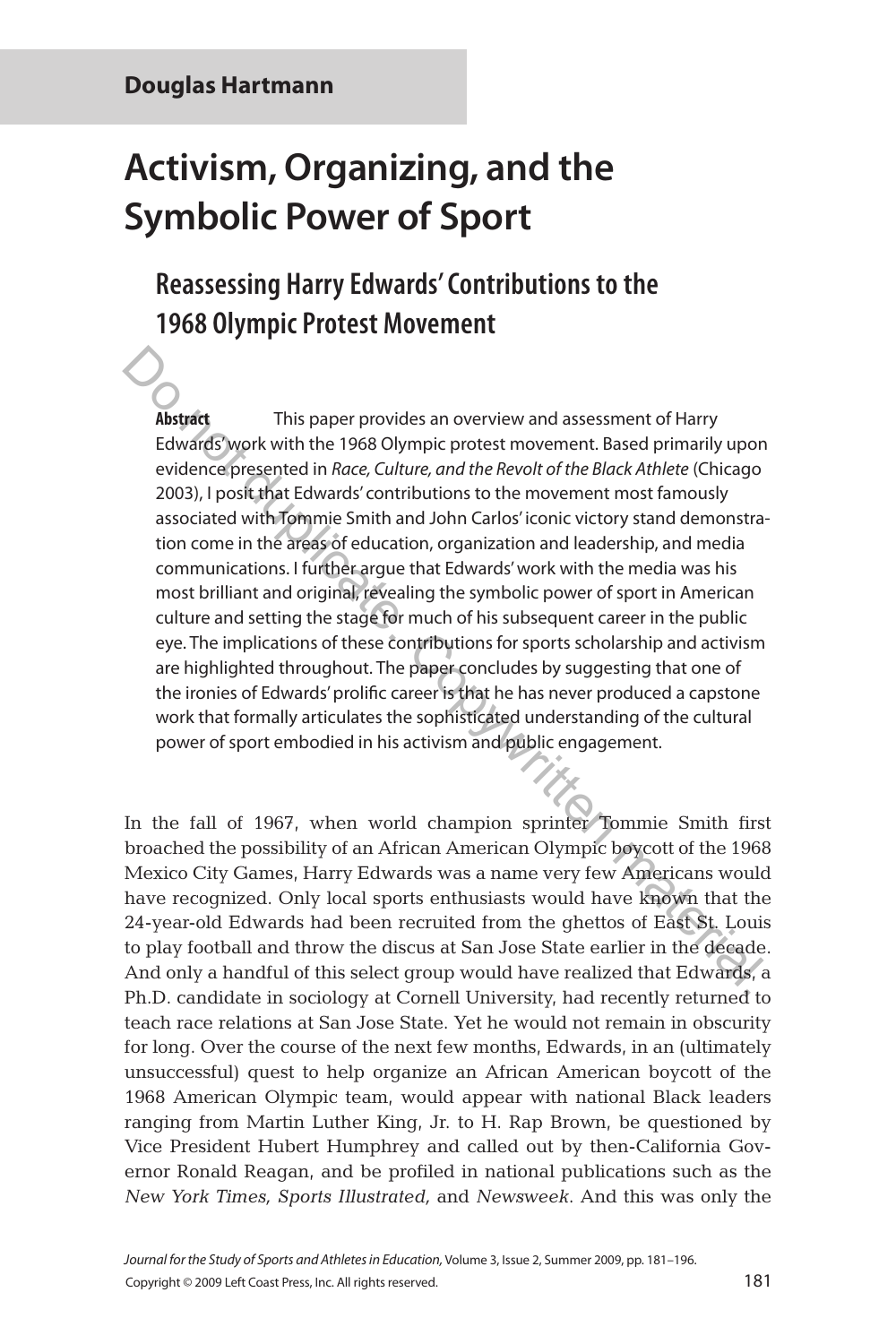# **Activism, Organizing, and the Symbolic Power of Sport**

# **Reassessing Harry Edwards' Contributions to the 1968 Olympic Protest Movement**

**Abstract** This paper provides an overview and assessment of Harry Edwards' work with the 1968 Olympic protest movement. Based primarily upon evidence presented in *Race, Culture, and the Revolt of the Black Athlete* (Chicago 2003), I posit that Edwards' contributions to the movement most famously associated with Tommie Smith and John Carlos' iconic victory stand demonstration come in the areas of education, organization and leadership, and media communications. I further argue that Edwards' work with the media was his most brilliant and original, revealing the symbolic power of sport in American culture and setting the stage for much of his subsequent career in the public eye. The implications of these contributions for sports scholarship and activism are highlighted throughout. The paper concludes by suggesting that one of the ironies of Edwards' prolific career is that he has never produced a capstone work that formally articulates the sophisticated understanding of the cultural power of sport embodied in his activism and public engagement. **Example 15**<br> **Example 15**<br> **Example 15**<br> **Example 15**<br> **Example 15**<br> **Example 15**<br> **Example 15**<br> **Example 15**<br> **Example 16**<br> **Example 16**<br> **Example 16**<br> **Example 16**<br> **Example 16**<br> **Example 15**<br> **Example 15**<br> **Example 15** 

In the fall of 1967, when world champion sprinter Tommie Smith first broached the possibility of an African American Olympic boycott of the 1968 Mexico City Games, Harry Edwards was a name very few Americans would have recognized. Only local sports enthusiasts would have known that the 24-year-old Edwards had been recruited from the ghettos of East St. Louis to play football and throw the discus at San Jose State earlier in the decade. And only a handful of this select group would have realized that Edwards, a Ph.D. candidate in sociology at Cornell University, had recently returned to teach race relations at San Jose State. Yet he would not remain in obscurity for long. Over the course of the next few months, Edwards, in an (ultimately unsuccessful) quest to help organize an African American boycott of the 1968 American Olympic team, would appear with national Black leaders ranging from Martin Luther King, Jr. to H. Rap Brown, be questioned by Vice President Hubert Humphrey and called out by then-California Governor Ronald Reagan, and be profiled in national publications such as the *New York Times, Sports Illustrated,* and *Newsweek*. And this was only the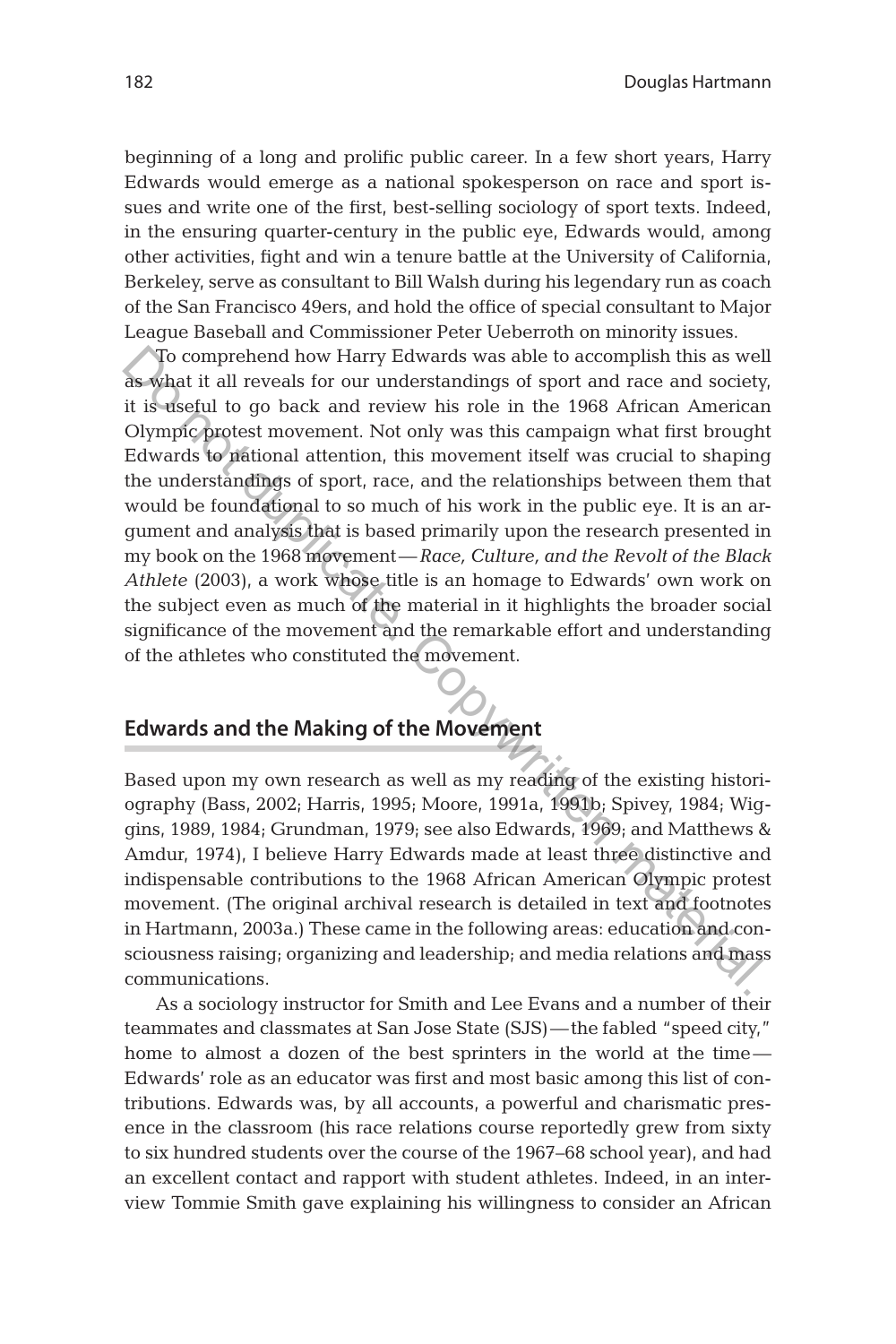beginning of a long and prolific public career. In a few short years, Harry Edwards would emerge as a national spokesperson on race and sport issues and write one of the first, best-selling sociology of sport texts. Indeed, in the ensuring quarter-century in the public eye, Edwards would, among other activities, fight and win a tenure battle at the University of California, Berkeley, serve as consultant to Bill Walsh during his legendary run as coach of the San Francisco 49ers, and hold the office of special consultant to Major League Baseball and Commissioner Peter Ueberroth on minority issues.

To comprehend how Harry Edwards was able to accomplish this as well as what it all reveals for our understandings of sport and race and society, it is useful to go back and review his role in the 1968 African American Olympic protest movement. Not only was this campaign what first brought Edwards to national attention, this movement itself was crucial to shaping the understandings of sport, race, and the relationships between them that would be foundational to so much of his work in the public eye. It is an argument and analysis that is based primarily upon the research presented in my book on the 1968 movement—*Race, Culture, and the Revolt of the Black Athlete* (2003), a work whose title is an homage to Edwards' own work on the subject even as much of the material in it highlights the broader social significance of the movement and the remarkable effort and understanding of the athletes who constituted the movement. To comprehend how Harry Edwards was able to accomplish this as well<br>
as what it all reveals for our understandings of sport and acceity<br>
it is distill to go back and review his role in the 1968 African America<br>
Olympic pr

### **Edwards and the Making of the Movement**

Based upon my own research as well as my reading of the existing historiography (Bass, 2002; Harris, 1995; Moore, 1991a, 1991b; Spivey, 1984; Wiggins, 1989, 1984; Grundman, 1979; see also Edwards, 1969; and Matthews & Amdur, 1974), I believe Harry Edwards made at least three distinctive and indispensable contributions to the 1968 African American Olympic protest movement. (The original archival research is detailed in text and footnotes in Hartmann, 2003a.) These came in the following areas: education and consciousness raising; organizing and leadership; and media relations and mass communications.

As a sociology instructor for Smith and Lee Evans and a number of their teammates and classmates at San Jose State (SJS)—the fabled "speed city," home to almost a dozen of the best sprinters in the world at the time— Edwards' role as an educator was first and most basic among this list of contributions. Edwards was, by all accounts, a powerful and charismatic presence in the classroom (his race relations course reportedly grew from sixty to six hundred students over the course of the 1967–68 school year), and had an excellent contact and rapport with student athletes. Indeed, in an interview Tommie Smith gave explaining his willingness to consider an African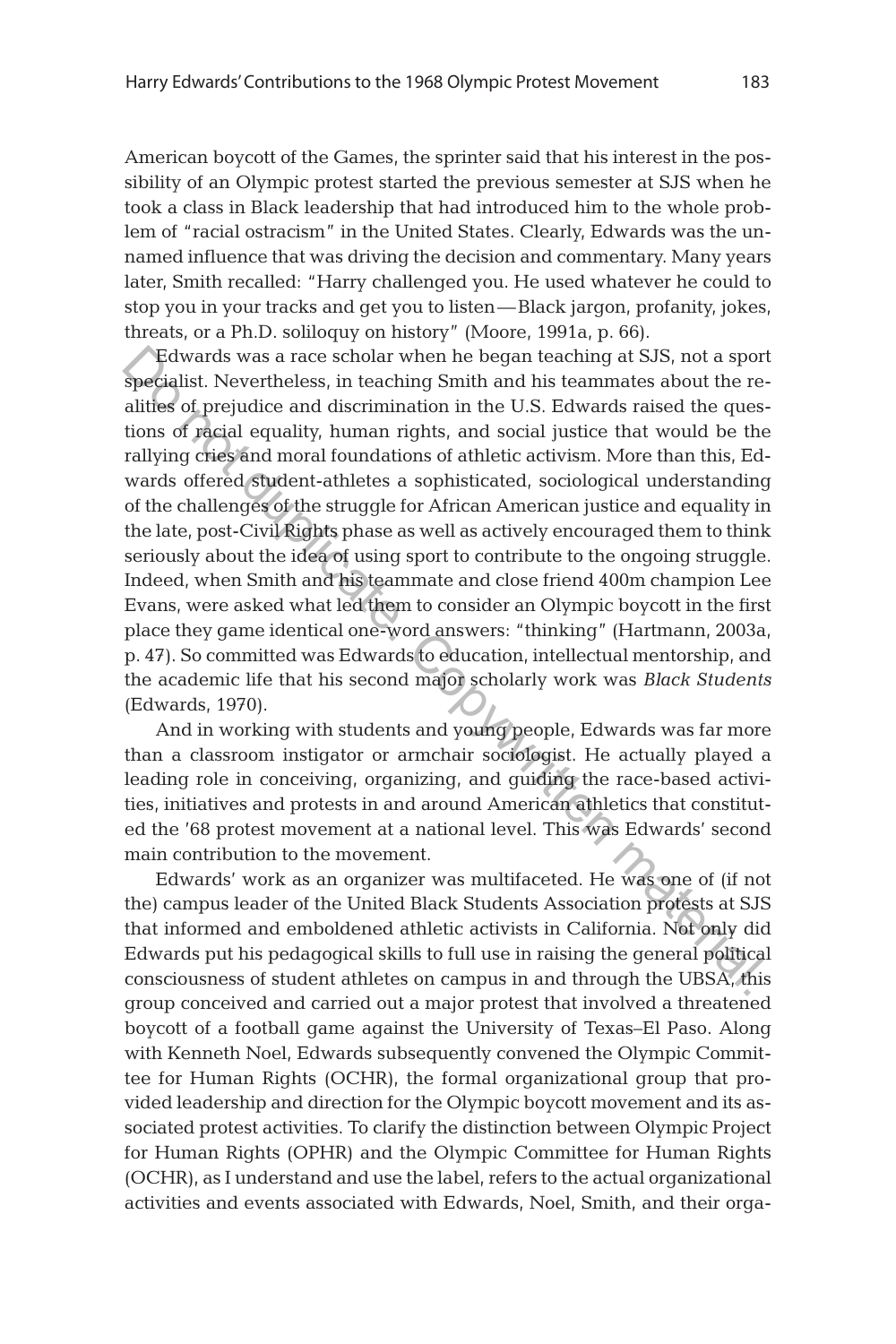American boycott of the Games, the sprinter said that his interest in the possibility of an Olympic protest started the previous semester at SJS when he took a class in Black leadership that had introduced him to the whole problem of "racial ostracism" in the United States. Clearly, Edwards was the unnamed influence that was driving the decision and commentary. Many years later, Smith recalled: "Harry challenged you. He used whatever he could to stop you in your tracks and get you to listen—Black jargon, profanity, jokes, threats, or a Ph.D. soliloquy on history" (Moore, 1991a, p. 66).

Edwards was a race scholar when he began teaching at SJS, not a sport specialist. Nevertheless, in teaching Smith and his teammates about the realities of prejudice and discrimination in the U.S. Edwards raised the questions of racial equality, human rights, and social justice that would be the rallying cries and moral foundations of athletic activism. More than this, Edwards offered student-athletes a sophisticated, sociological understanding of the challenges of the struggle for African American justice and equality in the late, post-Civil Rights phase as well as actively encouraged them to think seriously about the idea of using sport to contribute to the ongoing struggle. Indeed, when Smith and his teammate and close friend 400m champion Lee Evans, were asked what led them to consider an Olympic boycott in the first place they game identical one-word answers: "thinking" (Hartmann, 2003a, p. 47). So committed was Edwards to education, intellectual mentorship, and the academic life that his second major scholarly work was *Black Students*  (Edwards, 1970). Felwards was a race scholar when he began teaching at SJS, not a spore<br>signish: Nevertheless, in teaching Smith and his teammates about the re<br>alities of prejudice and discrimination in the U.S. Edwards raised the ques<br>ti

And in working with students and young people, Edwards was far more than a classroom instigator or armchair sociologist. He actually played a leading role in conceiving, organizing, and guiding the race-based activities, initiatives and protests in and around American athletics that constituted the '68 protest movement at a national level. This was Edwards' second main contribution to the movement.

Edwards' work as an organizer was multifaceted. He was one of (if not the) campus leader of the United Black Students Association protests at SJS that informed and emboldened athletic activists in California. Not only did Edwards put his pedagogical skills to full use in raising the general political consciousness of student athletes on campus in and through the UBSA, this group conceived and carried out a major protest that involved a threatened boycott of a football game against the University of Texas–El Paso. Along with Kenneth Noel, Edwards subsequently convened the Olympic Committee for Human Rights (OCHR), the formal organizational group that provided leadership and direction for the Olympic boycott movement and its associated protest activities. To clarify the distinction between Olympic Project for Human Rights (OPHR) and the Olympic Committee for Human Rights (OCHR), as I understand and use the label, refers to the actual organizational activities and events associated with Edwards, Noel, Smith, and their orga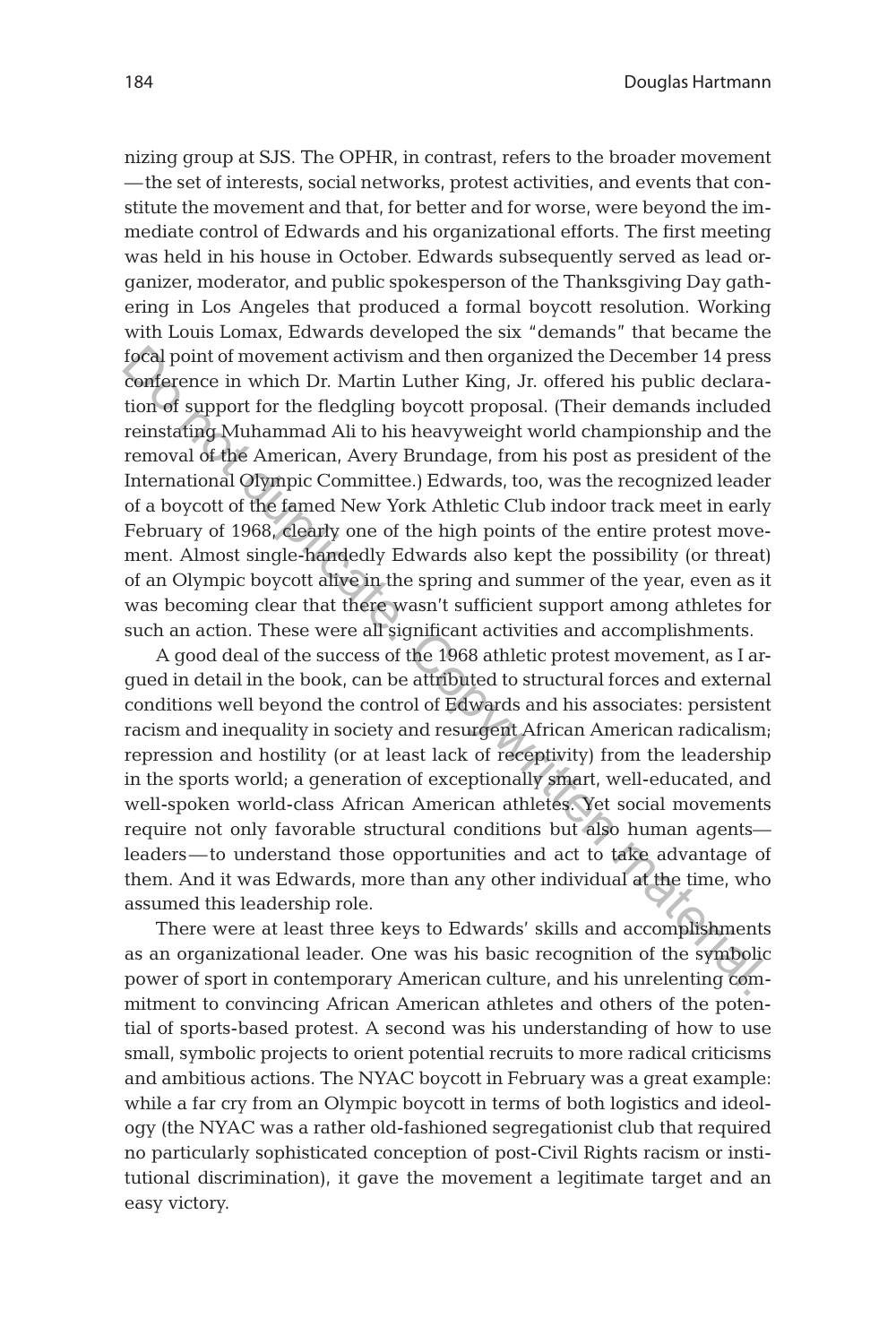nizing group at SJS. The OPHR, in contrast, refers to the broader movement —the set of interests, social networks, protest activities, and events that constitute the movement and that, for better and for worse, were beyond the immediate control of Edwards and his organizational efforts. The first meeting was held in his house in October. Edwards subsequently served as lead organizer, moderator, and public spokesperson of the Thanksgiving Day gathering in Los Angeles that produced a formal boycott resolution. Working with Louis Lomax, Edwards developed the six "demands" that became the focal point of movement activism and then organized the December 14 press conference in which Dr. Martin Luther King, Jr. offered his public declaration of support for the fledgling boycott proposal. (Their demands included reinstating Muhammad Ali to his heavyweight world championship and the removal of the American, Avery Brundage, from his post as president of the International Olympic Committee.) Edwards, too, was the recognized leader of a boycott of the famed New York Athletic Club indoor track meet in early February of 1968, clearly one of the high points of the entire protest movement. Almost single-handedly Edwards also kept the possibility (or threat) of an Olympic boycott alive in the spring and summer of the year, even as it was becoming clear that there wasn't sufficient support among athletes for such an action. These were all significant activities and accomplishments. focal point of movement activism and then organized the December 14 presont<br>free controls Dr. Martin Lutther King, J. offered his public declarate<br>from of support for the fledgling boycott proposal. (Their demands include

A good deal of the success of the 1968 athletic protest movement, as I argued in detail in the book, can be attributed to structural forces and external conditions well beyond the control of Edwards and his associates: persistent racism and inequality in society and resurgent African American radicalism; repression and hostility (or at least lack of receptivity) from the leadership in the sports world; a generation of exceptionally smart, well-educated, and well-spoken world-class African American athletes. Yet social movements require not only favorable structural conditions but also human agents leaders—to understand those opportunities and act to take advantage of them. And it was Edwards, more than any other individual at the time, who assumed this leadership role.

There were at least three keys to Edwards' skills and accomplishments as an organizational leader. One was his basic recognition of the symbolic power of sport in contemporary American culture, and his unrelenting commitment to convincing African American athletes and others of the potential of sports-based protest. A second was his understanding of how to use small, symbolic projects to orient potential recruits to more radical criticisms and ambitious actions. The NYAC boycott in February was a great example: while a far cry from an Olympic boycott in terms of both logistics and ideology (the NYAC was a rather old-fashioned segregationist club that required no particularly sophisticated conception of post-Civil Rights racism or institutional discrimination), it gave the movement a legitimate target and an easy victory.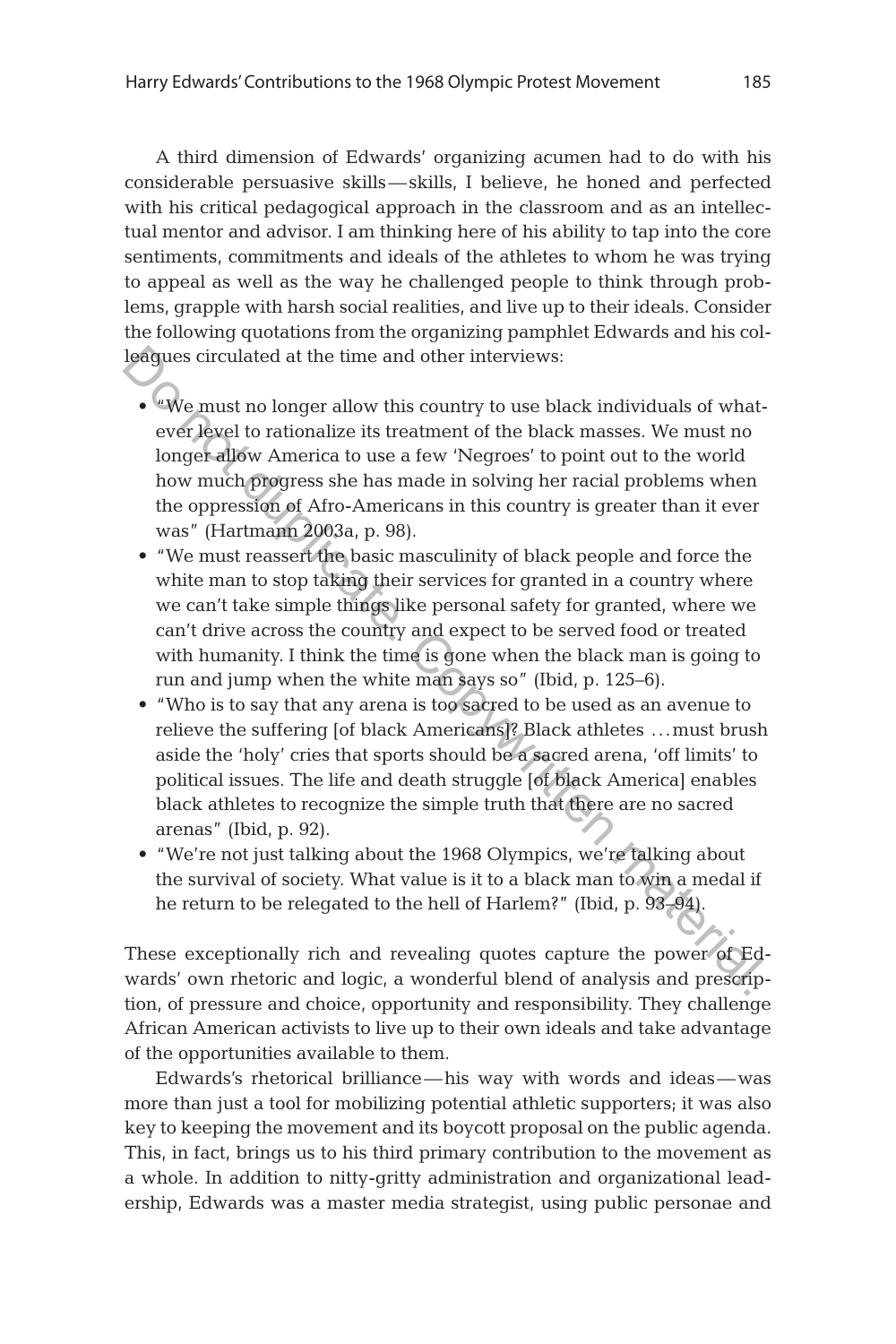A third dimension of Edwards' organizing acumen had to do with his considerable persuasive skills—skills, I believe, he honed and perfected with his critical pedagogical approach in the classroom and as an intellectual mentor and advisor. I am thinking here of his ability to tap into the core sentiments, commitments and ideals of the athletes to whom he was trying to appeal as well as the way he challenged people to think through problems, grapple with harsh social realities, and live up to their ideals. Consider the following quotations from the organizing pamphlet Edwards and his colleagues circulated at the time and other interviews:

- "We must no longer allow this country to use black individuals of whatever level to rationalize its treatment of the black masses. We must no longer allow America to use a few 'Negroes' to point out to the world how much progress she has made in solving her racial problems when the oppression of Afro-Americans in this country is greater than it ever was" (Hartmann 2003a, p. 98). leagues circulated at the time and other interviews:<br>
• We must no longer allow this country to use black individuals of what<br>
ever level to rationalize its treatment of the black masses. We must no<br>
longer allow America
	- • "We must reassert the basic masculinity of black people and force the white man to stop taking their services for granted in a country where we can't take simple things like personal safety for granted, where we can't drive across the country and expect to be served food or treated with humanity. I think the time is gone when the black man is going to run and jump when the white man says so" (Ibid, p. 125–6).
	- • "Who is to say that any arena is too sacred to be used as an avenue to relieve the suffering [of black Americans]? Black athletes ...must brush aside the 'holy' cries that sports should be a sacred arena, 'off limits' to political issues. The life and death struggle [of black America] enables black athletes to recognize the simple truth that there are no sacred arenas" (Ibid, p. 92).
	- "We're not just talking about the 1968 Olympics, we're talking about the survival of society. What value is it to a black man to win a medal if he return to be relegated to the hell of Harlem?" (Ibid, p. 93–94).

These exceptionally rich and revealing quotes capture the power of Edwards' own rhetoric and logic, a wonderful blend of analysis and prescription, of pressure and choice, opportunity and responsibility. They challenge African American activists to live up to their own ideals and take advantage of the opportunities available to them.

Edwards's rhetorical brilliance—his way with words and ideas—was more than just a tool for mobilizing potential athletic supporters; it was also key to keeping the movement and its boycott proposal on the public agenda. This, in fact, brings us to his third primary contribution to the movement as a whole. In addition to nitty-gritty administration and organizational leadership, Edwards was a master media strategist, using public personae and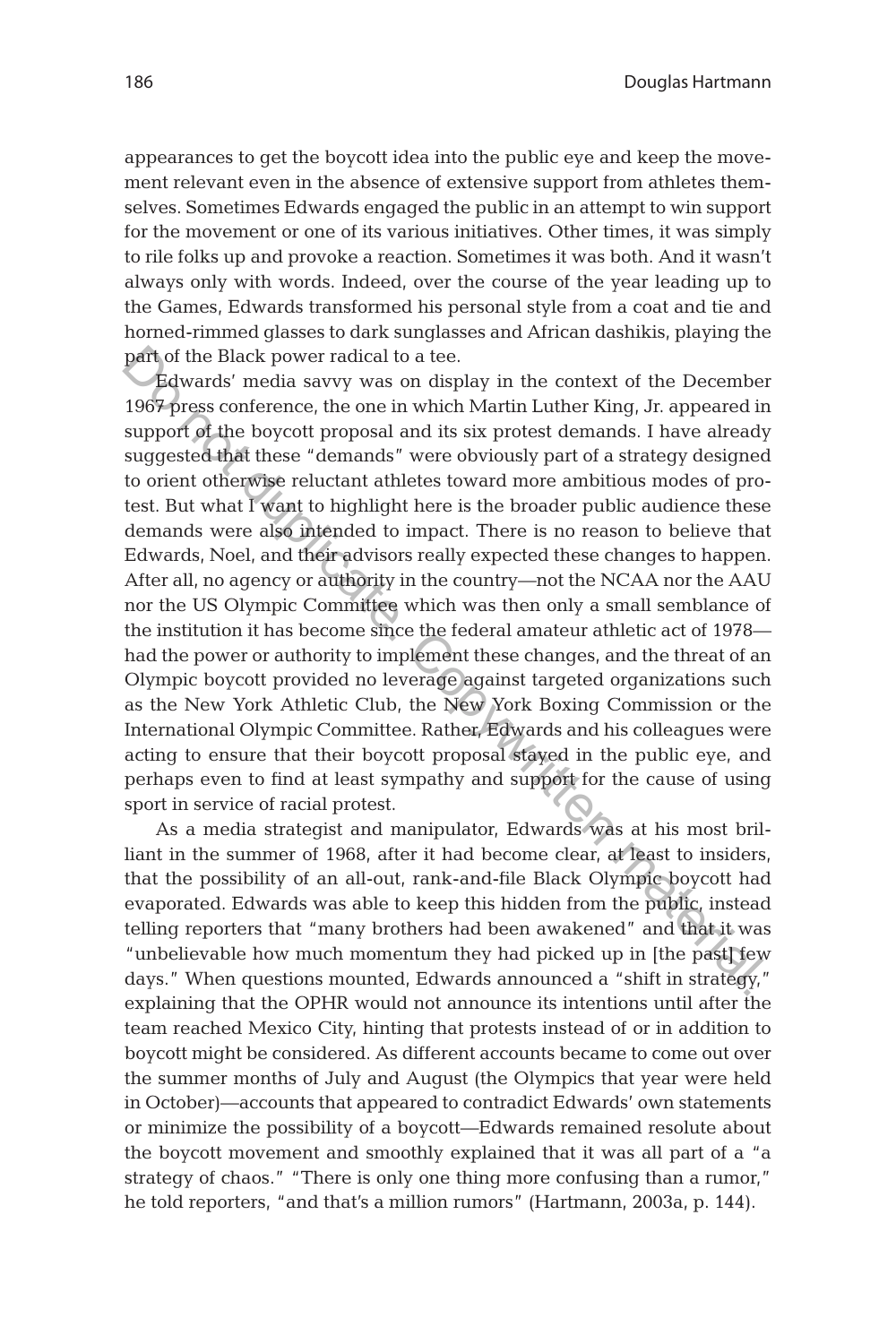appearances to get the boycott idea into the public eye and keep the movement relevant even in the absence of extensive support from athletes themselves. Sometimes Edwards engaged the public in an attempt to win support for the movement or one of its various initiatives. Other times, it was simply to rile folks up and provoke a reaction. Sometimes it was both. And it wasn't always only with words. Indeed, over the course of the year leading up to the Games, Edwards transformed his personal style from a coat and tie and horned-rimmed glasses to dark sunglasses and African dashikis, playing the part of the Black power radical to a tee.

Edwards' media savvy was on display in the context of the December 1967 press conference, the one in which Martin Luther King, Jr. appeared in support of the boycott proposal and its six protest demands. I have already suggested that these "demands" were obviously part of a strategy designed to orient otherwise reluctant athletes toward more ambitious modes of protest. But what I want to highlight here is the broader public audience these demands were also intended to impact. There is no reason to believe that Edwards, Noel, and their advisors really expected these changes to happen. After all, no agency or authority in the country—not the NCAA nor the AAU nor the US Olympic Committee which was then only a small semblance of the institution it has become since the federal amateur athletic act of 1978 had the power or authority to implement these changes, and the threat of an Olympic boycott provided no leverage against targeted organizations such as the New York Athletic Club, the New York Boxing Commission or the International Olympic Committee. Rather, Edwards and his colleagues were acting to ensure that their boycott proposal stayed in the public eye, and perhaps even to find at least sympathy and support for the cause of using sport in service of racial protest. part, of the Black power radical to a tee.<br> **Let**wards' media away was on display in the context of the Decembert 1967-press conference, the one in which Martin Luther King, Jr. appeared is support of the boycott proposal

As a media strategist and manipulator, Edwards was at his most brilliant in the summer of 1968, after it had become clear, at least to insiders, that the possibility of an all-out, rank-and-file Black Olympic boycott had evaporated. Edwards was able to keep this hidden from the public, instead telling reporters that "many brothers had been awakened" and that it was "unbelievable how much momentum they had picked up in [the past] few days." When questions mounted, Edwards announced a "shift in strategy," explaining that the OPHR would not announce its intentions until after the team reached Mexico City, hinting that protests instead of or in addition to boycott might be considered. As different accounts became to come out over the summer months of July and August (the Olympics that year were held in October)—accounts that appeared to contradict Edwards' own statements or minimize the possibility of a boycott—Edwards remained resolute about the boycott movement and smoothly explained that it was all part of a "a strategy of chaos." "There is only one thing more confusing than a rumor," he told reporters, "and that's a million rumors" (Hartmann, 2003a, p. 144).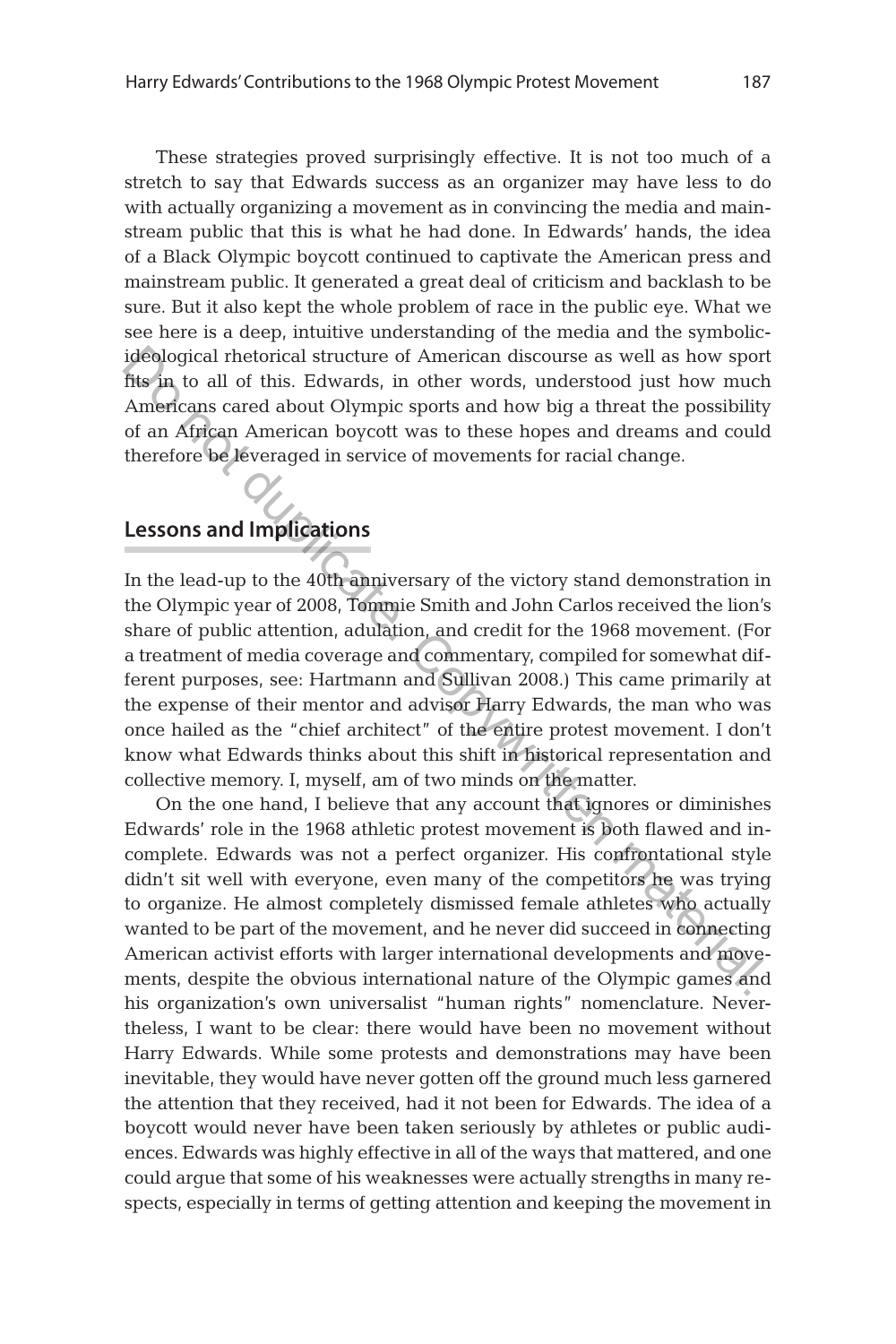These strategies proved surprisingly effective. It is not too much of a stretch to say that Edwards success as an organizer may have less to do with actually organizing a movement as in convincing the media and mainstream public that this is what he had done. In Edwards' hands, the idea of a Black Olympic boycott continued to captivate the American press and mainstream public. It generated a great deal of criticism and backlash to be sure. But it also kept the whole problem of race in the public eye. What we see here is a deep, intuitive understanding of the media and the symbolicideological rhetorical structure of American discourse as well as how sport fits in to all of this. Edwards, in other words, understood just how much Americans cared about Olympic sports and how big a threat the possibility of an African American boycott was to these hopes and dreams and could therefore be leveraged in service of movements for racial change.

# **Lessons and Implications**

In the lead-up to the 40th anniversary of the victory stand demonstration in the Olympic year of 2008, Tommie Smith and John Carlos received the lion's share of public attention, adulation, and credit for the 1968 movement. (For a treatment of media coverage and commentary, compiled for somewhat different purposes, see: Hartmann and Sullivan 2008.) This came primarily at the expense of their mentor and advisor Harry Edwards, the man who was once hailed as the "chief architect" of the entire protest movement. I don't know what Edwards thinks about this shift in historical representation and collective memory. I, myself, am of two minds on the matter. deelogical rhetorical structure of American discouse as well as how spote<br>this in to all of this. Edwards, in other words, understood just how much<br>Americans cared about Olympic sports and how big a threat the possibility

On the one hand, I believe that any account that ignores or diminishes Edwards' role in the 1968 athletic protest movement is both flawed and incomplete. Edwards was not a perfect organizer. His confrontational style didn't sit well with everyone, even many of the competitors he was trying to organize. He almost completely dismissed female athletes who actually wanted to be part of the movement, and he never did succeed in connecting American activist efforts with larger international developments and movements, despite the obvious international nature of the Olympic games and his organization's own universalist "human rights" nomenclature. Nevertheless, I want to be clear: there would have been no movement without Harry Edwards. While some protests and demonstrations may have been inevitable, they would have never gotten off the ground much less garnered the attention that they received, had it not been for Edwards. The idea of a boycott would never have been taken seriously by athletes or public audiences. Edwards was highly effective in all of the ways that mattered, and one could argue that some of his weaknesses were actually strengths in many respects, especially in terms of getting attention and keeping the movement in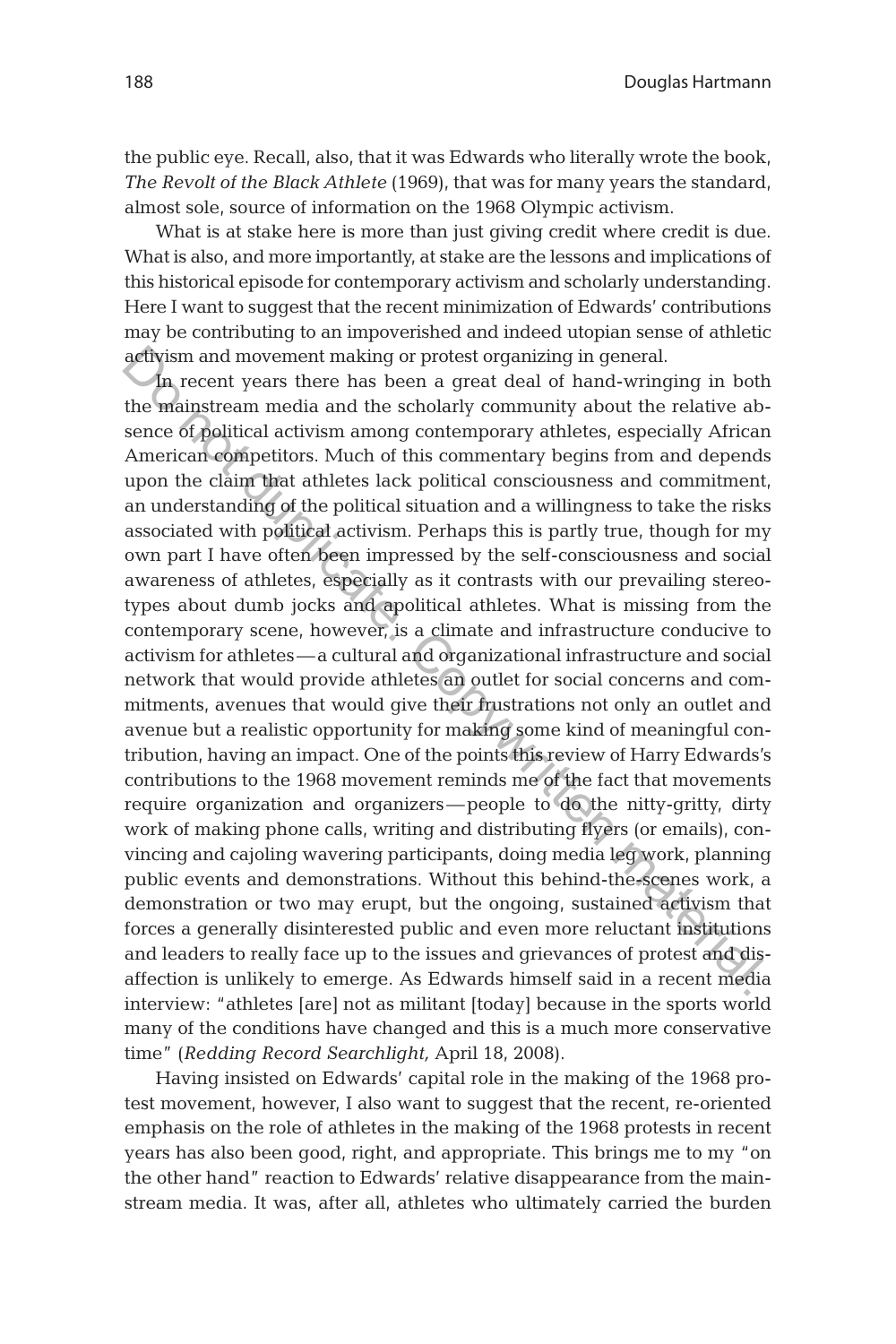the public eye. Recall, also, that it was Edwards who literally wrote the book, *The Revolt of the Black Athlete* (1969), that was for many years the standard, almost sole, source of information on the 1968 Olympic activism.

What is at stake here is more than just giving credit where credit is due. What is also, and more importantly, at stake are the lessons and implications of this historical episode for contemporary activism and scholarly understanding. Here I want to suggest that the recent minimization of Edwards' contributions may be contributing to an impoverished and indeed utopian sense of athletic activism and movement making or protest organizing in general.

In recent years there has been a great deal of hand-wringing in both the mainstream media and the scholarly community about the relative absence of political activism among contemporary athletes, especially African American competitors. Much of this commentary begins from and depends upon the claim that athletes lack political consciousness and commitment, an understanding of the political situation and a willingness to take the risks associated with political activism. Perhaps this is partly true, though for my own part I have often been impressed by the self-consciousness and social awareness of athletes, especially as it contrasts with our prevailing stereotypes about dumb jocks and apolitical athletes. What is missing from the contemporary scene, however, is a climate and infrastructure conducive to activism for athletes—a cultural and organizational infrastructure and social network that would provide athletes an outlet for social concerns and commitments, avenues that would give their frustrations not only an outlet and avenue but a realistic opportunity for making some kind of meaningful contribution, having an impact. One of the points this review of Harry Edwards's contributions to the 1968 movement reminds me of the fact that movements require organization and organizers—people to do the nitty-gritty, dirty work of making phone calls, writing and distributing flyers (or emails), convincing and cajoling wavering participants, doing media leg work, planning public events and demonstrations. Without this behind-the-scenes work, a demonstration or two may erupt, but the ongoing, sustained activism that forces a generally disinterested public and even more reluctant institutions and leaders to really face up to the issues and grievances of protest and disaffection is unlikely to emerge. As Edwards himself said in a recent media interview: "athletes [are] not as militant [today] because in the sports world many of the conditions have changed and this is a much more conservative time" (*Redding Record Searchlight,* April 18, 2008). activism and movement making or protest organizing in general. The recent years there has been a great deal of hand-wiringing in both many<br>the mainstream media and the scholarly community about the relative ab<br>sence of po

Having insisted on Edwards' capital role in the making of the 1968 protest movement, however, I also want to suggest that the recent, re-oriented emphasis on the role of athletes in the making of the 1968 protests in recent years has also been good, right, and appropriate. This brings me to my "on the other hand" reaction to Edwards' relative disappearance from the mainstream media. It was, after all, athletes who ultimately carried the burden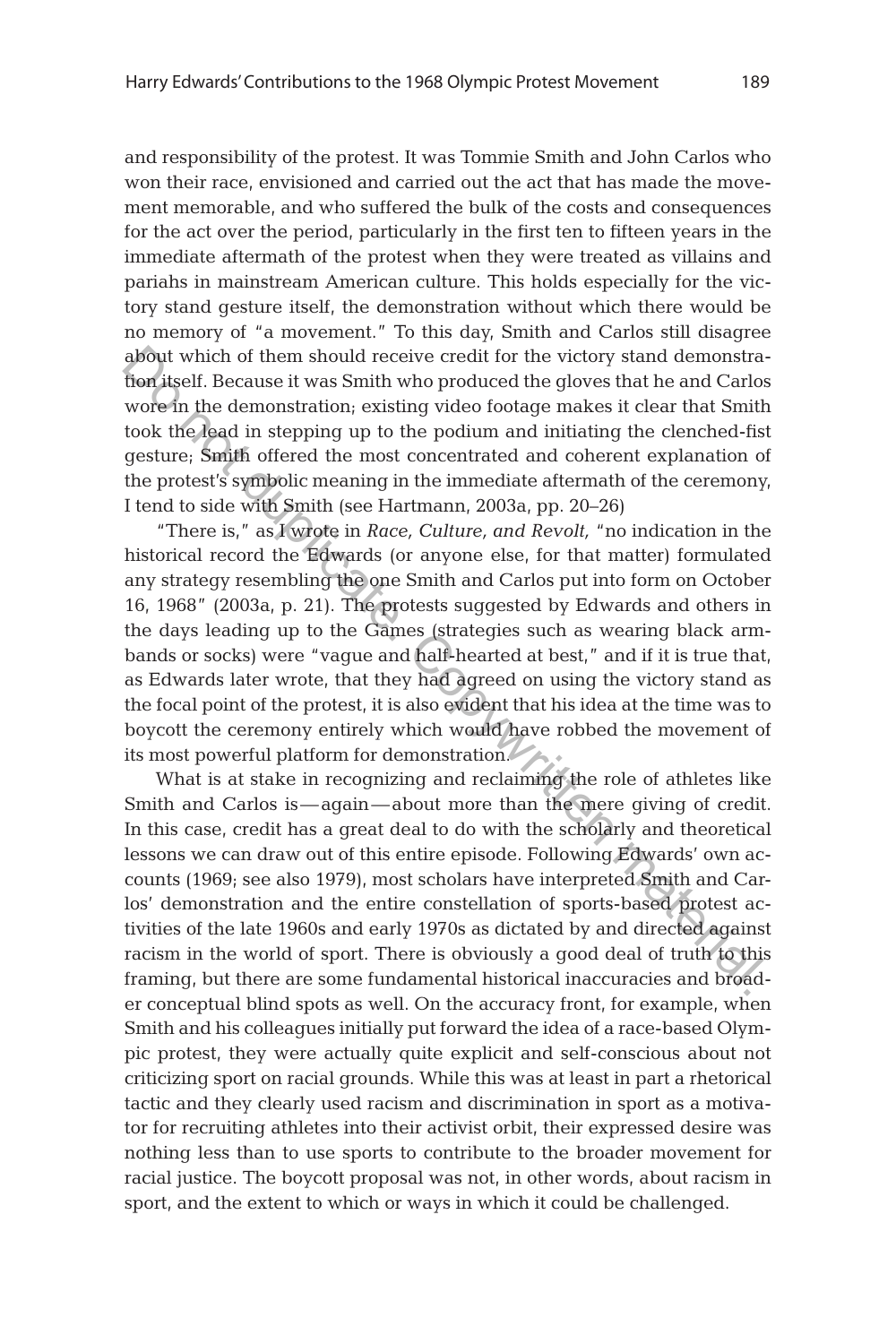and responsibility of the protest. It was Tommie Smith and John Carlos who won their race, envisioned and carried out the act that has made the movement memorable, and who suffered the bulk of the costs and consequences for the act over the period, particularly in the first ten to fifteen years in the immediate aftermath of the protest when they were treated as villains and pariahs in mainstream American culture. This holds especially for the victory stand gesture itself, the demonstration without which there would be no memory of "a movement." To this day, Smith and Carlos still disagree about which of them should receive credit for the victory stand demonstration itself. Because it was Smith who produced the gloves that he and Carlos wore in the demonstration; existing video footage makes it clear that Smith took the lead in stepping up to the podium and initiating the clenched-fist gesture; Smith offered the most concentrated and coherent explanation of the protest's symbolic meaning in the immediate aftermath of the ceremony, I tend to side with Smith (see Hartmann, 2003a, pp. 20–26)

"There is," as I wrote in *Race, Culture, and Revolt,* "no indication in the historical record the Edwards (or anyone else, for that matter) formulated any strategy resembling the one Smith and Carlos put into form on October 16, 1968" (2003a, p. 21). The protests suggested by Edwards and others in the days leading up to the Games (strategies such as wearing black armbands or socks) were "vague and half-hearted at best," and if it is true that, as Edwards later wrote, that they had agreed on using the victory stand as the focal point of the protest, it is also evident that his idea at the time was to boycott the ceremony entirely which would have robbed the movement of its most powerful platform for demonstration. about which of them should receive credit for the victory stand demonstrate that is consistent was Smith who produced the gloves that he and Carlo wore in the demonstration; existing video footage makes it clear that Smit

What is at stake in recognizing and reclaiming the role of athletes like Smith and Carlos is—again—about more than the mere giving of credit. In this case, credit has a great deal to do with the scholarly and theoretical lessons we can draw out of this entire episode. Following Edwards' own accounts (1969; see also 1979), most scholars have interpreted Smith and Carlos' demonstration and the entire constellation of sports-based protest activities of the late 1960s and early 1970s as dictated by and directed against racism in the world of sport. There is obviously a good deal of truth to this framing, but there are some fundamental historical inaccuracies and broader conceptual blind spots as well. On the accuracy front, for example, when Smith and his colleagues initially put forward the idea of a race-based Olympic protest, they were actually quite explicit and self-conscious about not criticizing sport on racial grounds. While this was at least in part a rhetorical tactic and they clearly used racism and discrimination in sport as a motivator for recruiting athletes into their activist orbit, their expressed desire was nothing less than to use sports to contribute to the broader movement for racial justice. The boycott proposal was not, in other words, about racism in sport, and the extent to which or ways in which it could be challenged.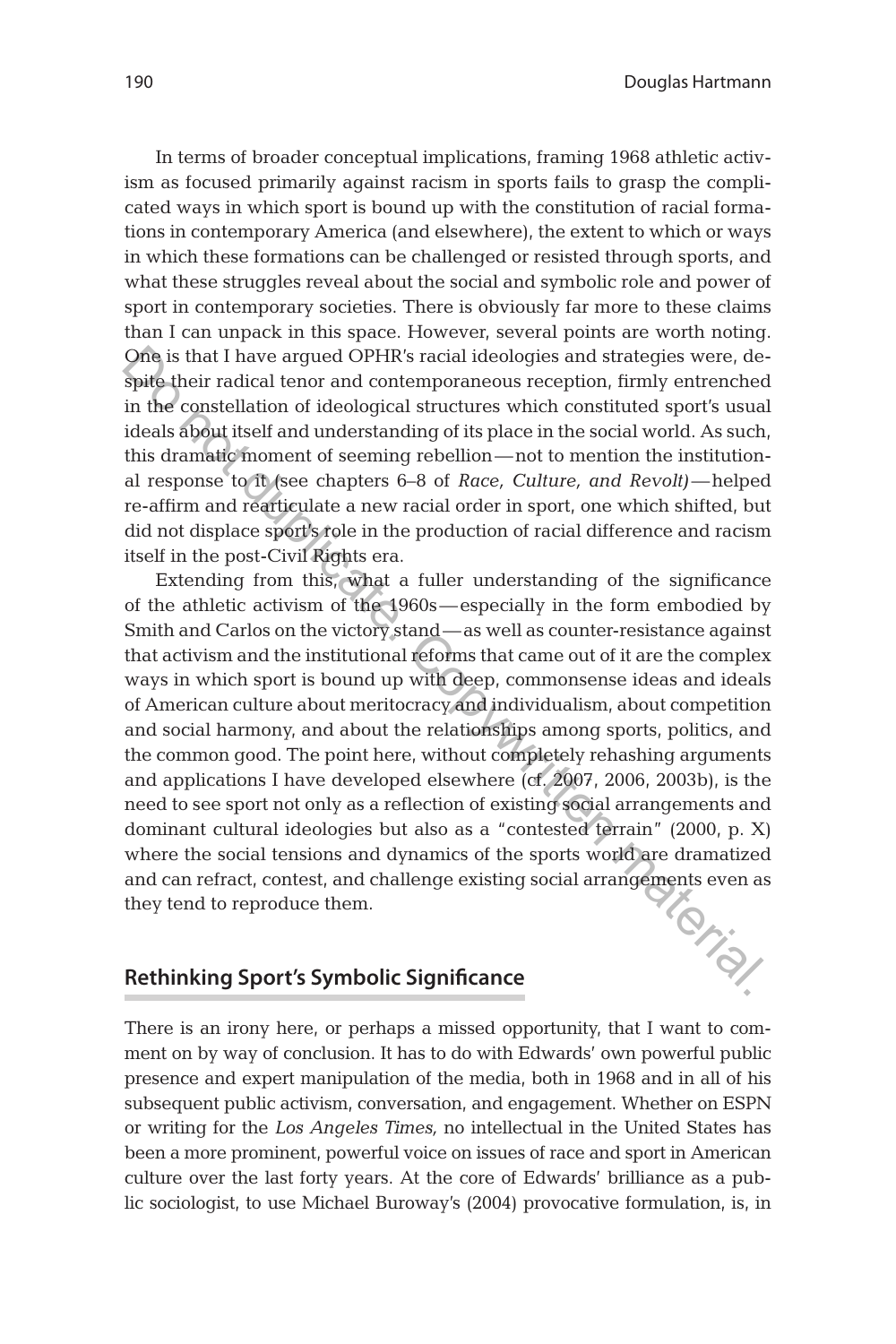In terms of broader conceptual implications, framing 1968 athletic activism as focused primarily against racism in sports fails to grasp the complicated ways in which sport is bound up with the constitution of racial formations in contemporary America (and elsewhere), the extent to which or ways in which these formations can be challenged or resisted through sports, and what these struggles reveal about the social and symbolic role and power of sport in contemporary societies. There is obviously far more to these claims than I can unpack in this space. However, several points are worth noting. One is that I have argued OPHR's racial ideologies and strategies were, despite their radical tenor and contemporaneous reception, firmly entrenched in the constellation of ideological structures which constituted sport's usual ideals about itself and understanding of its place in the social world. As such, this dramatic moment of seeming rebellion—not to mention the institutional response to it (see chapters 6–8 of *Race, Culture, and Revolt)*—helped re-affirm and rearticulate a new racial order in sport, one which shifted, but did not displace sport's role in the production of racial difference and racism itself in the post-Civil Rights era.

Extending from this, what a fuller understanding of the significance of the athletic activism of the 1960s—especially in the form embodied by Smith and Carlos on the victory stand—as well as counter-resistance against that activism and the institutional reforms that came out of it are the complex ways in which sport is bound up with deep, commonsense ideas and ideals of American culture about meritocracy and individualism, about competition and social harmony, and about the relationships among sports, politics, and the common good. The point here, without completely rehashing arguments and applications I have developed elsewhere (cf. 2007, 2006, 2003b), is the need to see sport not only as a reflection of existing social arrangements and dominant cultural ideologies but also as a "contested terrain" (2000, p. X) where the social tensions and dynamics of the sports world are dramatized and can refract, contest, and challenge existing social arrangements even as<br>they tend to reproduce them. they tend to reproduce them. One is that I have argued OPHR's racial ideologies and strategies were, despite their radical tenor and contemporaneous reception, firmly entrenched in the constellation of ideological structures which constituted sport's

#### **Rethinking Sport's Symbolic Significance**

There is an irony here, or perhaps a missed opportunity, that I want to comment on by way of conclusion. It has to do with Edwards' own powerful public presence and expert manipulation of the media, both in 1968 and in all of his subsequent public activism, conversation, and engagement. Whether on ESPN or writing for the *Los Angeles Times,* no intellectual in the United States has been a more prominent, powerful voice on issues of race and sport in American culture over the last forty years. At the core of Edwards' brilliance as a public sociologist, to use Michael Buroway's (2004) provocative formulation, is, in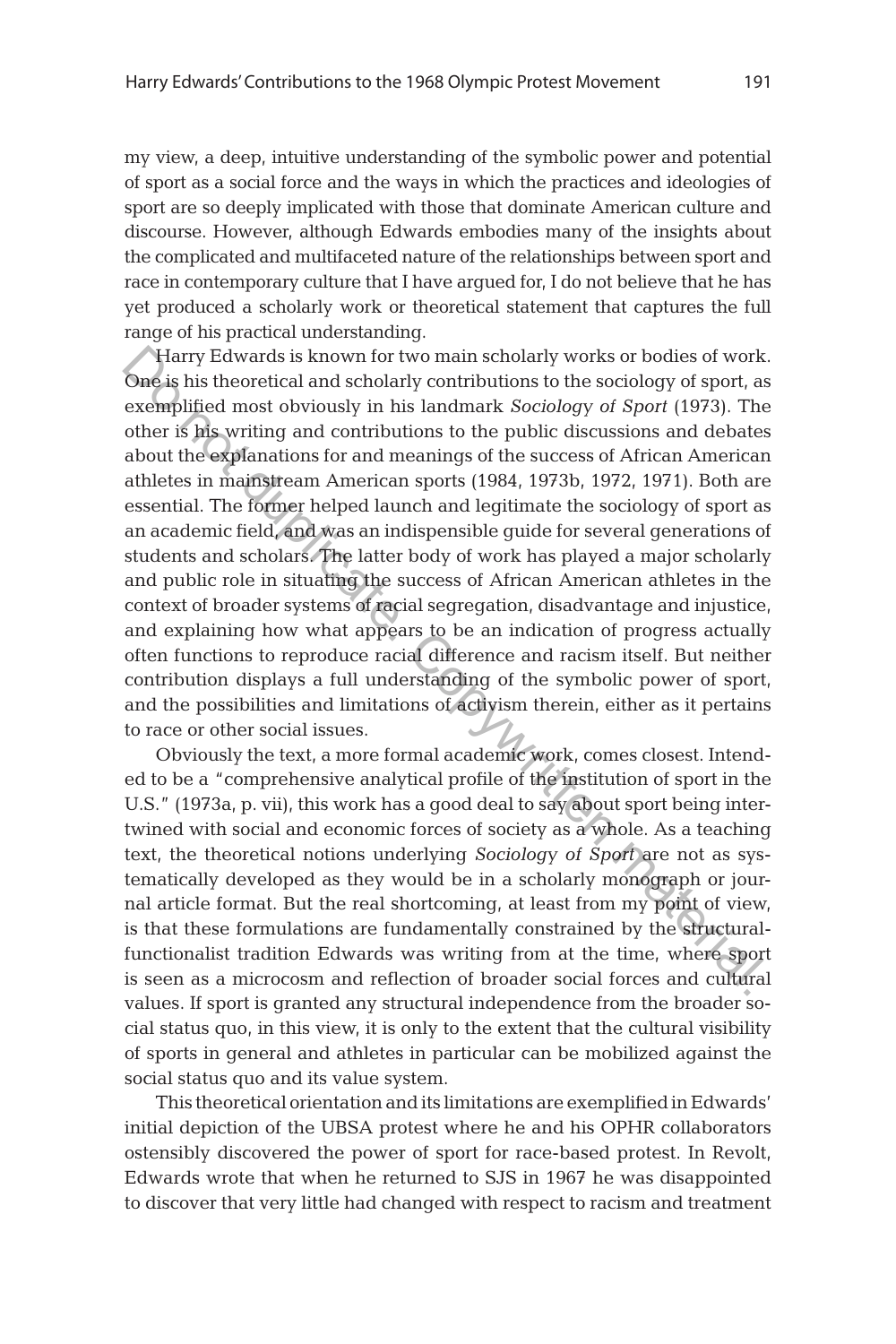my view, a deep, intuitive understanding of the symbolic power and potential of sport as a social force and the ways in which the practices and ideologies of sport are so deeply implicated with those that dominate American culture and discourse. However, although Edwards embodies many of the insights about the complicated and multifaceted nature of the relationships between sport and race in contemporary culture that I have argued for, I do not believe that he has yet produced a scholarly work or theoretical statement that captures the full range of his practical understanding.

Harry Edwards is known for two main scholarly works or bodies of work. One is his theoretical and scholarly contributions to the sociology of sport, as exemplified most obviously in his landmark *Sociology of Sport* (1973). The other is his writing and contributions to the public discussions and debates about the explanations for and meanings of the success of African American athletes in mainstream American sports (1984, 1973b, 1972, 1971). Both are essential. The former helped launch and legitimate the sociology of sport as an academic field, and was an indispensible guide for several generations of students and scholars. The latter body of work has played a major scholarly and public role in situating the success of African American athletes in the context of broader systems of racial segregation, disadvantage and injustice, and explaining how what appears to be an indication of progress actually often functions to reproduce racial difference and racism itself. But neither contribution displays a full understanding of the symbolic power of sport, and the possibilities and limitations of activism therein, either as it pertains to race or other social issues. Harry Edwards is known for two main scholarly works or bodies of work<br>One is his theoretical and scholarly contributions to the sociology of sport, a<br>exemplified most obviously in his landmark Sociology of Sport (1973). T

Obviously the text, a more formal academic work, comes closest. Intended to be a "comprehensive analytical profile of the institution of sport in the U.S." (1973a, p. vii), this work has a good deal to say about sport being intertwined with social and economic forces of society as a whole. As a teaching text, the theoretical notions underlying *Sociology of Sport* are not as systematically developed as they would be in a scholarly monograph or journal article format. But the real shortcoming, at least from my point of view, is that these formulations are fundamentally constrained by the structuralfunctionalist tradition Edwards was writing from at the time, where sport is seen as a microcosm and reflection of broader social forces and cultural values. If sport is granted any structural independence from the broader social status quo, in this view, it is only to the extent that the cultural visibility of sports in general and athletes in particular can be mobilized against the social status quo and its value system.

This theoretical orientation and its limitations are exemplified in Edwards' initial depiction of the UBSA protest where he and his OPHR collaborators ostensibly discovered the power of sport for race-based protest. In Revolt, Edwards wrote that when he returned to SJS in 1967 he was disappointed to discover that very little had changed with respect to racism and treatment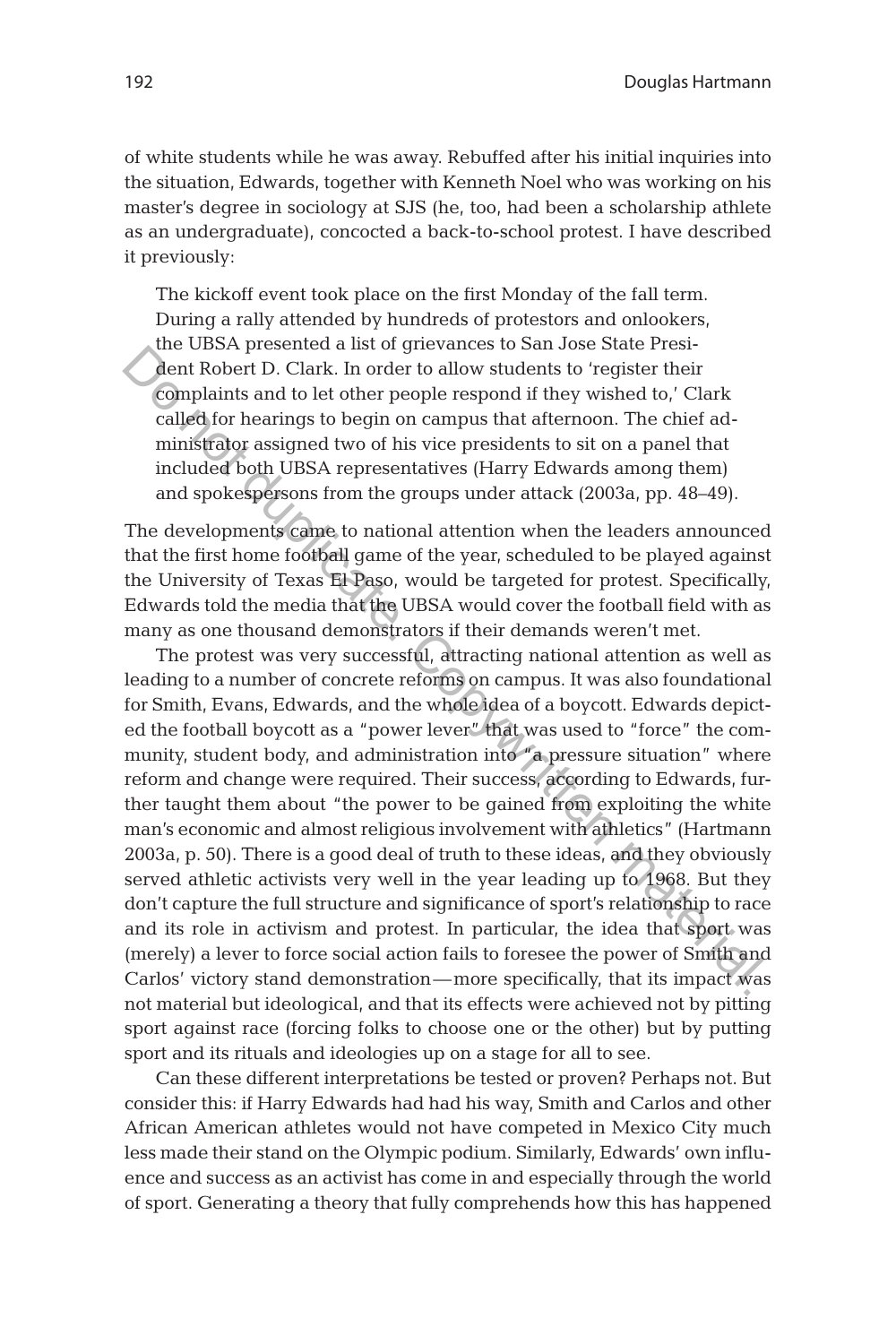of white students while he was away. Rebuffed after his initial inquiries into the situation, Edwards, together with Kenneth Noel who was working on his master's degree in sociology at SJS (he, too, had been a scholarship athlete as an undergraduate), concocted a back-to-school protest. I have described it previously:

The kickoff event took place on the first Monday of the fall term. During a rally attended by hundreds of protestors and onlookers, the UBSA presented a list of grievances to San Jose State President Robert D. Clark. In order to allow students to 'register their complaints and to let other people respond if they wished to,' Clark called for hearings to begin on campus that afternoon. The chief administrator assigned two of his vice presidents to sit on a panel that included both UBSA representatives (Harry Edwards among them) and spokespersons from the groups under attack (2003a, pp. 48–49).

The developments came to national attention when the leaders announced that the first home football game of the year, scheduled to be played against the University of Texas El Paso, would be targeted for protest. Specifically, Edwards told the media that the UBSA would cover the football field with as many as one thousand demonstrators if their demands weren't met.

The protest was very successful, attracting national attention as well as leading to a number of concrete reforms on campus. It was also foundational for Smith, Evans, Edwards, and the whole idea of a boycott. Edwards depicted the football boycott as a "power lever" that was used to "force" the community, student body, and administration into "a pressure situation" where reform and change were required. Their success, according to Edwards, further taught them about "the power to be gained from exploiting the white man's economic and almost religious involvement with athletics" (Hartmann 2003a, p. 50). There is a good deal of truth to these ideas, and they obviously served athletic activists very well in the year leading up to 1968. But they don't capture the full structure and significance of sport's relationship to race and its role in activism and protest. In particular, the idea that sport was (merely) a lever to force social action fails to foresee the power of Smith and Carlos' victory stand demonstration—more specifically, that its impact was not material but ideological, and that its effects were achieved not by pitting sport against race (forcing folks to choose one or the other) but by putting sport and its rituals and ideologies up on a stage for all to see. The Conservance of some that the matter is the duply wished to, 'Clark dent Robert D. Clark. In order to allow students to 'register their complaints and to let other people respond if they wished to,' Clark caled for hear

Can these different interpretations be tested or proven? Perhaps not. But consider this: if Harry Edwards had had his way, Smith and Carlos and other African American athletes would not have competed in Mexico City much less made their stand on the Olympic podium. Similarly, Edwards' own influence and success as an activist has come in and especially through the world of sport. Generating a theory that fully comprehends how this has happened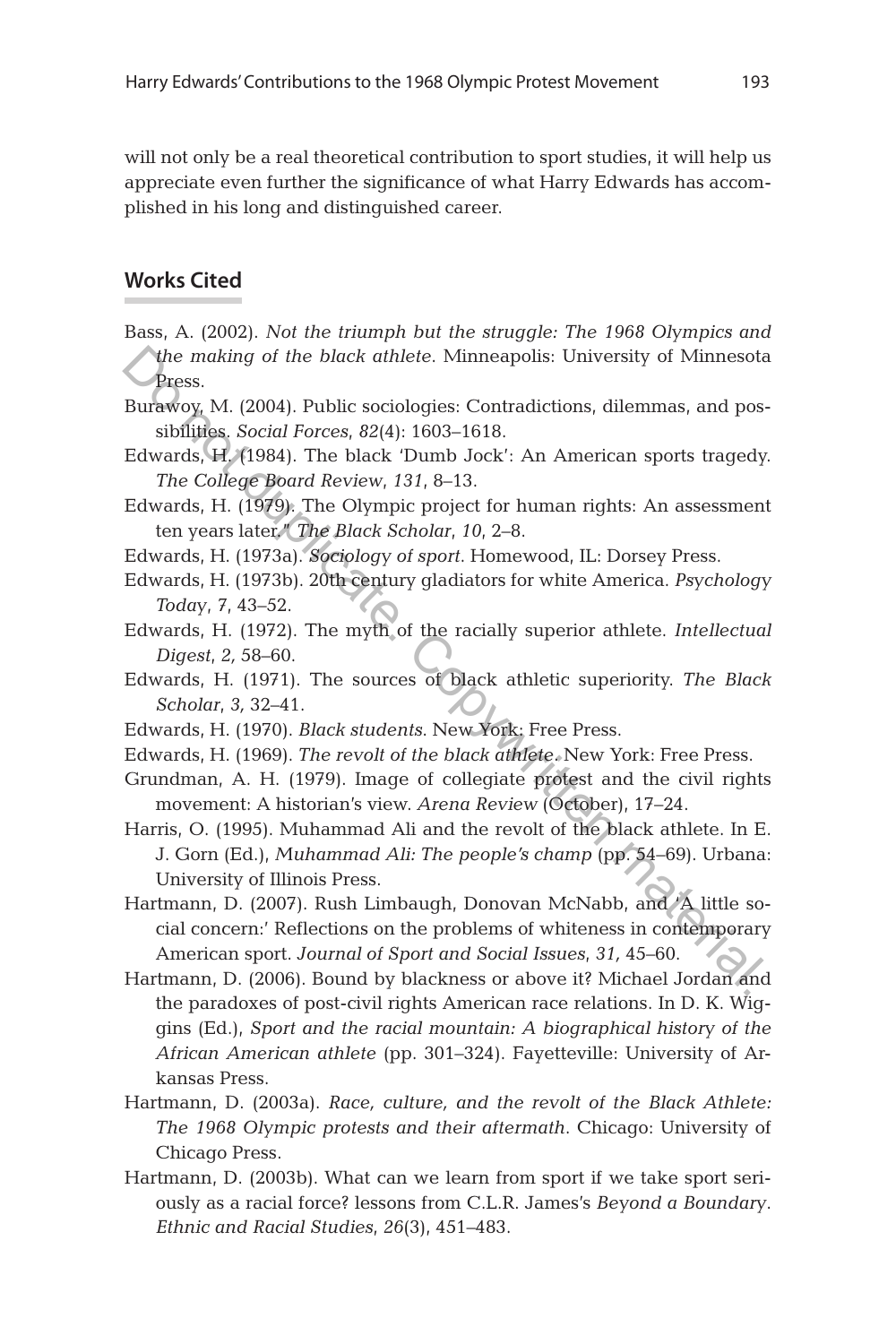will not only be a real theoretical contribution to sport studies, it will help us appreciate even further the significance of what Harry Edwards has accomplished in his long and distinguished career.

# **Works Cited**

- Bass, A. (2002). *Not the triumph but the struggle: The 1968 Olympics and the making of the black athlete*. Minneapolis: University of Minnesota Press.
- Burawoy, M. (2004). Public sociologies: Contradictions, dilemmas, and possibilities. *Social Forces*, *82*(4): 1603–1618.
- Edwards, H. (1984). The black 'Dumb Jock': An American sports tragedy. *The College Board Review*, *131*, 8–13.
- Edwards, H. (1979). The Olympic project for human rights: An assessment ten years later." *The Black Scholar*, *10*, 2–8.
- Edwards, H. (1973a). *Sociology of sport*. Homewood, IL: Dorsey Press.
- Edwards, H. (1973b). 20th century gladiators for white America. *Psychology Today*, *7*, 43–52.
- Edwards, H. (1972). The myth of the racially superior athlete. *Intellectual Digest*, *2,* 58–60.
- Edwards, H. (1971). The sources of black athletic superiority. *The Black Scholar*, *3,* 32–41.
- Edwards, H. (1970). *Black students*. New York: Free Press.
- Edwards, H. (1969). *The revolt of the black athlete*. New York: Free Press.
- Grundman, A. H. (1979). Image of collegiate protest and the civil rights movement: A historian's view. *Arena Review* (October), 17–24.
- Harris, O. (1995). Muhammad Ali and the revolt of the black athlete. In E. J. Gorn (Ed.), *Muhammad Ali: The people's champ* (pp. 54–69). Urbana: University of Illinois Press.
- Hartmann, D. (2007). Rush Limbaugh, Donovan McNabb, and 'A little social concern:' Reflections on the problems of whiteness in contemporary American sport. *Journal of Sport and Social Issues*, *31,* 45–60. **Alternative of the black athlete.** Minneapolis: University of Minnesot<br>
Purewoy, M. (2004). Public sociologies: Contradictions, dilemmas, and pos<br>
sibilities. Social Forces, 82(4): 1603–1618.<br>
Edwards, H. (1984). The bla
- Hartmann, D. (2006). Bound by blackness or above it? Michael Jordan and the paradoxes of post-civil rights American race relations. In D. K. Wiggins (Ed.), *Sport and the racial mountain: A biographical history of the African American athlete* (pp. 301–324). Fayetteville: University of Arkansas Press.
- Hartmann, D. (2003a). *Race, culture, and the revolt of the Black Athlete: The 1968 Olympic protests and their aftermath*. Chicago: University of Chicago Press.
- Hartmann, D. (2003b). What can we learn from sport if we take sport seriously as a racial force? lessons from C.L.R. James's *Beyond a Boundary*. *Ethnic and Racial Studies*, *26*(3), 451–483.